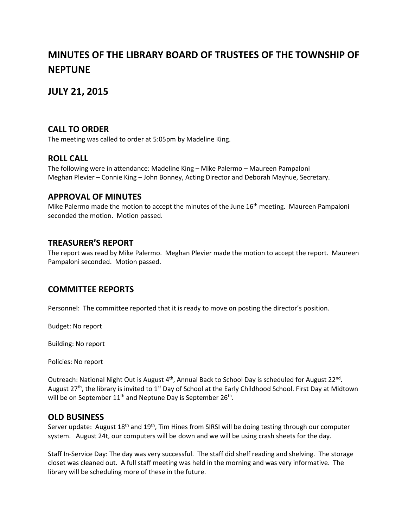# **MINUTES OF THE LIBRARY BOARD OF TRUSTEES OF THE TOWNSHIP OF NEPTUNE**

# **JULY 21, 2015**

### **CALL TO ORDER**

The meeting was called to order at 5:05pm by Madeline King.

#### **ROLL CALL**

The following were in attendance: Madeline King – Mike Palermo – Maureen Pampaloni Meghan Plevier – Connie King – John Bonney, Acting Director and Deborah Mayhue, Secretary.

#### **APPROVAL OF MINUTES**

Mike Palermo made the motion to accept the minutes of the June  $16<sup>th</sup>$  meeting. Maureen Pampaloni seconded the motion. Motion passed.

#### **TREASURER'S REPORT**

The report was read by Mike Palermo. Meghan Plevier made the motion to accept the report. Maureen Pampaloni seconded. Motion passed.

#### **COMMITTEE REPORTS**

Personnel: The committee reported that it is ready to move on posting the director's position.

Budget: No report

Building: No report

Policies: No report

Outreach: National Night Out is August  $4^{th}$ , Annual Back to School Day is scheduled for August 22<sup>nd</sup>. August 27<sup>th</sup>, the library is invited to 1<sup>st</sup> Day of School at the Early Childhood School. First Day at Midtown will be on September 11<sup>th</sup> and Neptune Day is September 26<sup>th</sup>.

#### **OLD BUSINESS**

Server update: August 18<sup>th</sup> and 19<sup>th</sup>, Tim Hines from SIRSI will be doing testing through our computer system. August 24t, our computers will be down and we will be using crash sheets for the day.

Staff In-Service Day: The day was very successful. The staff did shelf reading and shelving. The storage closet was cleaned out. A full staff meeting was held in the morning and was very informative. The library will be scheduling more of these in the future.